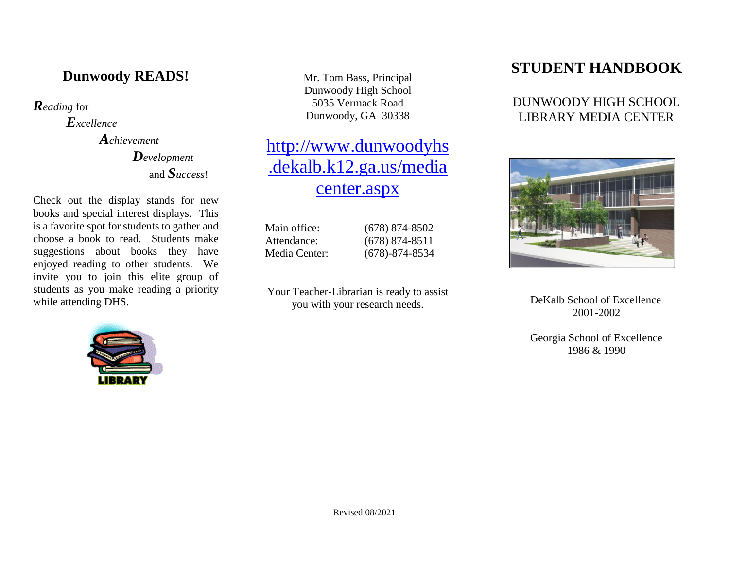## **Dunwoody READS!**

*Reading* for

*Excellence*

*Achievement Development* and *Success*!

Check out the display stands for new books and special interest displays. This is a favorite spot for students to gather and choose a book to read. Students make suggestions about books they have enjoyed reading to other students. We invite you to join this elite group of students as you make reading a priority while attending DHS.



Mr. Tom Bass, Principal Dunwoody High School 5035 Vermack Road Dunwoody, GA 30338

# [http://www.dunwoodyhs](http://www.dunwoodyhs.dekalb.k12.ga.us/mediacenter.aspx) [.dekalb.k12.ga.us/media](http://www.dunwoodyhs.dekalb.k12.ga.us/mediacenter.aspx) [center.aspx](http://www.dunwoodyhs.dekalb.k12.ga.us/mediacenter.aspx)

Main office: (678) 874-8502 Attendance: (678) 874-8511 Media Center: (678)-874-8534

Your Teacher-Librarian is ready to assist you with your research needs.

## **STUDENT HANDBOOK**

### DUNWOODY HIGH SCHOOL LIBRARY MEDIA CENTER



DeKalb School of Excellence 2001-2002

Georgia School of Excellence 1986 & 1990